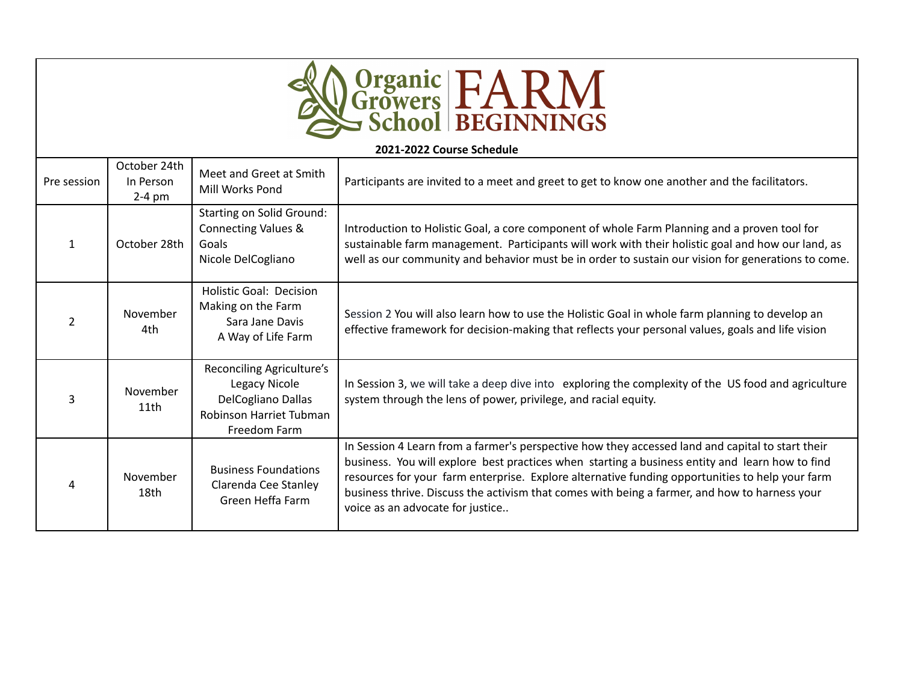| <b>A Organic FARM</b> |  |
|-----------------------|--|
|                       |  |

| 2021-2022 Course Schedule |                                       |                                                                                                             |                                                                                                                                                                                                                                                                                                                                                                                                                                             |
|---------------------------|---------------------------------------|-------------------------------------------------------------------------------------------------------------|---------------------------------------------------------------------------------------------------------------------------------------------------------------------------------------------------------------------------------------------------------------------------------------------------------------------------------------------------------------------------------------------------------------------------------------------|
| Pre session               | October 24th<br>In Person<br>$2-4$ pm | Meet and Greet at Smith<br>Mill Works Pond                                                                  | Participants are invited to a meet and greet to get to know one another and the facilitators.                                                                                                                                                                                                                                                                                                                                               |
| $\mathbf{1}$              | October 28th                          | <b>Starting on Solid Ground:</b><br><b>Connecting Values &amp;</b><br>Goals<br>Nicole DelCogliano           | Introduction to Holistic Goal, a core component of whole Farm Planning and a proven tool for<br>sustainable farm management. Participants will work with their holistic goal and how our land, as<br>well as our community and behavior must be in order to sustain our vision for generations to come.                                                                                                                                     |
| $\overline{2}$            | November<br>4th                       | <b>Holistic Goal: Decision</b><br>Making on the Farm<br>Sara Jane Davis<br>A Way of Life Farm               | Session 2 You will also learn how to use the Holistic Goal in whole farm planning to develop an<br>effective framework for decision-making that reflects your personal values, goals and life vision                                                                                                                                                                                                                                        |
| 3                         | November<br>11th                      | Reconciling Agriculture's<br>Legacy Nicole<br>DelCogliano Dallas<br>Robinson Harriet Tubman<br>Freedom Farm | In Session 3, we will take a deep dive into exploring the complexity of the US food and agriculture<br>system through the lens of power, privilege, and racial equity.                                                                                                                                                                                                                                                                      |
| 4                         | November<br>18th                      | <b>Business Foundations</b><br>Clarenda Cee Stanley<br>Green Heffa Farm                                     | In Session 4 Learn from a farmer's perspective how they accessed land and capital to start their<br>business. You will explore best practices when starting a business entity and learn how to find<br>resources for your farm enterprise. Explore alternative funding opportunities to help your farm<br>business thrive. Discuss the activism that comes with being a farmer, and how to harness your<br>voice as an advocate for justice |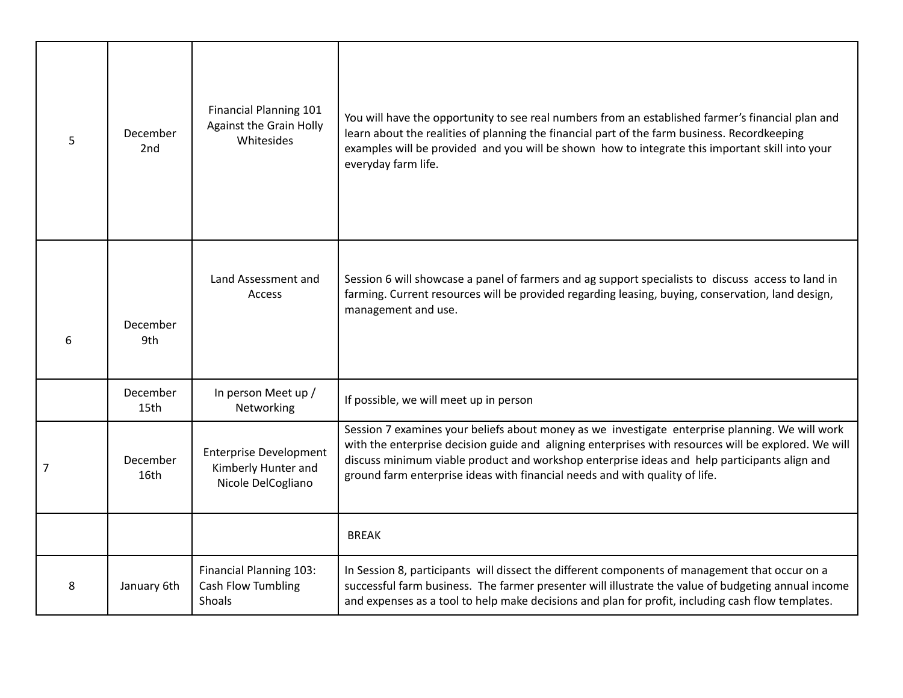| $5\phantom{.}$ | December<br>2 <sub>nd</sub> | Financial Planning 101<br><b>Against the Grain Holly</b><br>Whitesides     | You will have the opportunity to see real numbers from an established farmer's financial plan and<br>learn about the realities of planning the financial part of the farm business. Recordkeeping<br>examples will be provided and you will be shown how to integrate this important skill into your<br>everyday farm life.                                                            |
|----------------|-----------------------------|----------------------------------------------------------------------------|----------------------------------------------------------------------------------------------------------------------------------------------------------------------------------------------------------------------------------------------------------------------------------------------------------------------------------------------------------------------------------------|
| 6              | December<br>9th             | Land Assessment and<br><b>Access</b>                                       | Session 6 will showcase a panel of farmers and ag support specialists to discuss access to land in<br>farming. Current resources will be provided regarding leasing, buying, conservation, land design,<br>management and use.                                                                                                                                                         |
|                | December<br>15th            | In person Meet up /<br>Networking                                          | If possible, we will meet up in person                                                                                                                                                                                                                                                                                                                                                 |
| 7              | December<br>16th            | <b>Enterprise Development</b><br>Kimberly Hunter and<br>Nicole DelCogliano | Session 7 examines your beliefs about money as we investigate enterprise planning. We will work<br>with the enterprise decision guide and aligning enterprises with resources will be explored. We will<br>discuss minimum viable product and workshop enterprise ideas and help participants align and<br>ground farm enterprise ideas with financial needs and with quality of life. |
|                |                             |                                                                            | <b>BREAK</b>                                                                                                                                                                                                                                                                                                                                                                           |
| 8              | January 6th                 | <b>Financial Planning 103:</b><br>Cash Flow Tumbling<br>Shoals             | In Session 8, participants will dissect the different components of management that occur on a<br>successful farm business. The farmer presenter will illustrate the value of budgeting annual income<br>and expenses as a tool to help make decisions and plan for profit, including cash flow templates.                                                                             |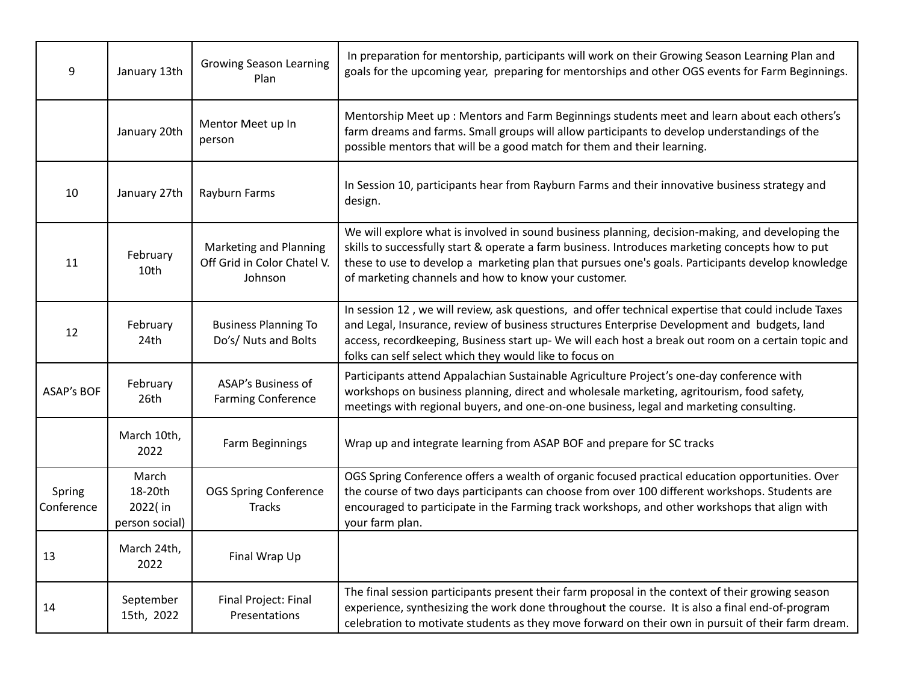| 9                    | January 13th                                  | <b>Growing Season Learning</b><br>Plan                                  | In preparation for mentorship, participants will work on their Growing Season Learning Plan and<br>goals for the upcoming year, preparing for mentorships and other OGS events for Farm Beginnings.                                                                                                                                                                    |
|----------------------|-----------------------------------------------|-------------------------------------------------------------------------|------------------------------------------------------------------------------------------------------------------------------------------------------------------------------------------------------------------------------------------------------------------------------------------------------------------------------------------------------------------------|
|                      | January 20th                                  | Mentor Meet up In<br>person                                             | Mentorship Meet up : Mentors and Farm Beginnings students meet and learn about each others's<br>farm dreams and farms. Small groups will allow participants to develop understandings of the<br>possible mentors that will be a good match for them and their learning.                                                                                                |
| 10                   | January 27th                                  | Rayburn Farms                                                           | In Session 10, participants hear from Rayburn Farms and their innovative business strategy and<br>design.                                                                                                                                                                                                                                                              |
| 11                   | February<br>10th                              | <b>Marketing and Planning</b><br>Off Grid in Color Chatel V.<br>Johnson | We will explore what is involved in sound business planning, decision-making, and developing the<br>skills to successfully start & operate a farm business. Introduces marketing concepts how to put<br>these to use to develop a marketing plan that pursues one's goals. Participants develop knowledge<br>of marketing channels and how to know your customer.      |
| 12                   | February<br>24th                              | <b>Business Planning To</b><br>Do's/ Nuts and Bolts                     | In session 12, we will review, ask questions, and offer technical expertise that could include Taxes<br>and Legal, Insurance, review of business structures Enterprise Development and budgets, land<br>access, recordkeeping, Business start up- We will each host a break out room on a certain topic and<br>folks can self select which they would like to focus on |
| <b>ASAP's BOF</b>    | February<br>26th                              | <b>ASAP's Business of</b><br><b>Farming Conference</b>                  | Participants attend Appalachian Sustainable Agriculture Project's one-day conference with<br>workshops on business planning, direct and wholesale marketing, agritourism, food safety,<br>meetings with regional buyers, and one-on-one business, legal and marketing consulting.                                                                                      |
|                      | March 10th,<br>2022                           | Farm Beginnings                                                         | Wrap up and integrate learning from ASAP BOF and prepare for SC tracks                                                                                                                                                                                                                                                                                                 |
| Spring<br>Conference | March<br>18-20th<br>2022(in<br>person social) | <b>OGS Spring Conference</b><br><b>Tracks</b>                           | OGS Spring Conference offers a wealth of organic focused practical education opportunities. Over<br>the course of two days participants can choose from over 100 different workshops. Students are<br>encouraged to participate in the Farming track workshops, and other workshops that align with<br>your farm plan.                                                 |
| 13                   | March 24th,<br>2022                           | Final Wrap Up                                                           |                                                                                                                                                                                                                                                                                                                                                                        |
| 14                   | September<br>15th, 2022                       | Final Project: Final<br>Presentations                                   | The final session participants present their farm proposal in the context of their growing season<br>experience, synthesizing the work done throughout the course. It is also a final end-of-program<br>celebration to motivate students as they move forward on their own in pursuit of their farm dream.                                                             |